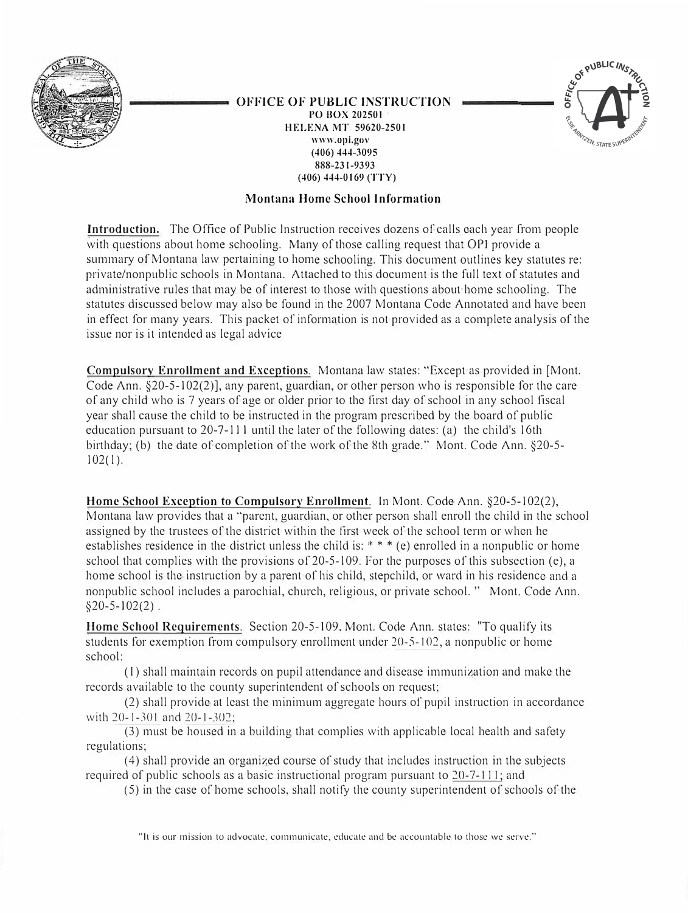

#### **OFFICE OF PUBLIC INSTRUCTION PO BOX 202501 HELENA MT 59620-2501 www.opi.gov (406) 444-3095 888-231-9393**



## **Montana Home School Information**

**( 406) 444-0169 (TTY)**

**Introduction.** The Office of Public Instruction receives dozens of calls each year from people with questions about home schooling. Many of those calling request that OPI provide a summary of Montana law pertaining to home schooling. This document outlines key statutes re: private/nonpublic schools in Montana. Attached to this document is the full text of statutes and administrative rules that may be of interest to those with questions about home schooling. The statutes discussed below may also be found in the 2007 Montana Code Annotated and have been in effect for many years. This packet of information is not provided as a complete analysis of the issue nor is it intended as legal advice

**Compulsory Enrollment and Exceptions.** Montana law states: "Except as provided in [Mont. Code Ann. §20-5-102(2)], any parent, guardian, or other person who is responsible for the care of any child who is 7 years of age or older prior to the 11rst day of school in any school fiscal year shall cause the child to be instructed in the program prescribed by the board of public education pursuant to 20-7-111 until the later of the following dates: (a) the child's 16th birthday; (b) the date of completion of the work of the 8th grade." Mont. Code Ann. §20-5-  $102(1)$ .

**Home School Exception to Compulsory Enrollment.** In Mont. Code Ann. §20-5-102(2), Montana law provides that a "parent, guardian, or other person shall enroll the child in the school assigned by the trustees of the district within the first week of the school term or when he establishes residence in the district unless the child is: \* \* \* (e) enrolled in a nonpublic or home school that complies with the provisions of 20-5-109. For the purposes of this subsection (e), a home school is the instruction by a parent of his child, stepchild, or ward in his residence and a nonpublic school includes a parochial, church, religious, or private school." Mont. Code Ann.  $$20-5-102(2)$ .

**Home School Requirements.** Section 20-5-109, Mont. Code Ann. states: "To qualify its students for exemption from compulsory enrollment under 20-5-10�, a nonpublic or home school:

(I ) shall maintain records on pupil attendance and disease immunization and make the records available to the county superintendent of schools on request;

(2) shall provide at least the minimum aggregate hours of pupil instruction in accordance with  $20-1-301$  and  $20-1-302$ ;

(3) must be housed in a building that complies with applicable local health and safety regulations;

(4) shall provide an organized course of study that includes instruction in the subjects required of public schools as a basic instructional program pursuant to 20-7-1 I I; and

(5) in the case of home schools, shall notify the county superintendent of schools of the

"It is our mission to advocate, communicate, educate and be accountable lo those we serve."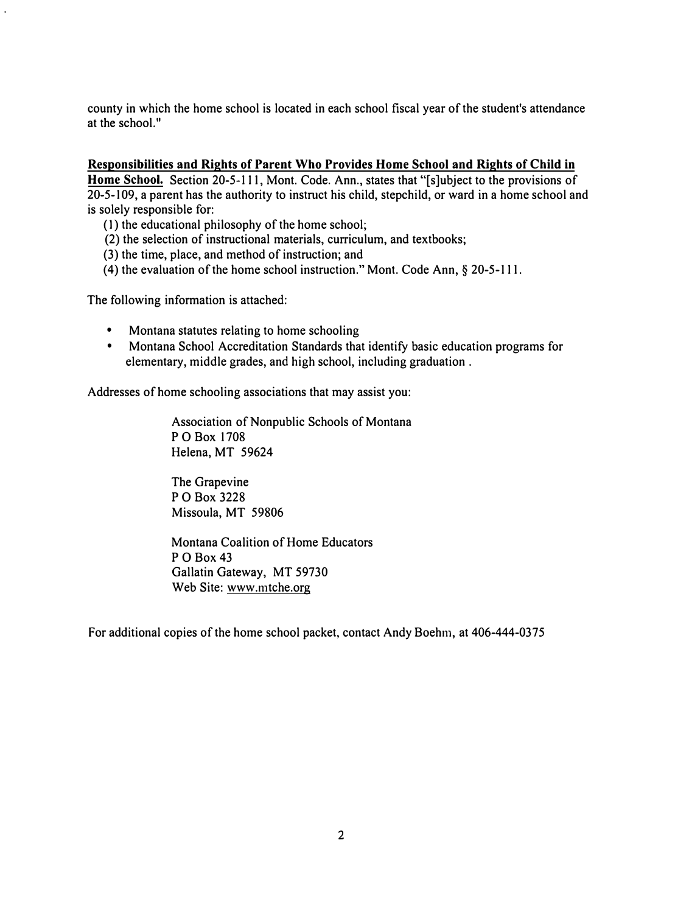county in which the home school is located in each school fiscal year of the student's attendance at the school."

### **Responsibilities and Rights of Parent Who Provides Home School and Rights of Child in**

**Home School.** Section 20-5-111, Mont. Code. Ann., states that "[s]ubject to the provisions of 20-5-109, a parent has the authority to instruct his child, stepchild, or ward in a home school and is solely responsible for:

(I) the educational philosophy of the home school;

- (2) the selection of instructional materials, curriculum, and textbooks;
- (3) the time, place, and method of instruction; and
- (4) the evaluation of the home school instruction." Mont. Code Ann,§ 20-5-111.

The following information is attached:

- Montana statutes relating to home schooling
- Montana School Accreditation Standards that identify basic education programs for elementary, middle grades, and high school, including graduation .

Addresses of home schooling associations that may assist you:

Association of Nonpublic Schools of Montana PO Box 1708 Helena, MT 59624

The Grapevine PO Box 3228 Missoula, MT 59806

Montana Coalition of Home Educators PO Box 43 Gallatin Gateway, MT 59730 Web Site: www.mtche.org

For additional copies of the home school packet, contact Andy Boehm, at 406-444-0375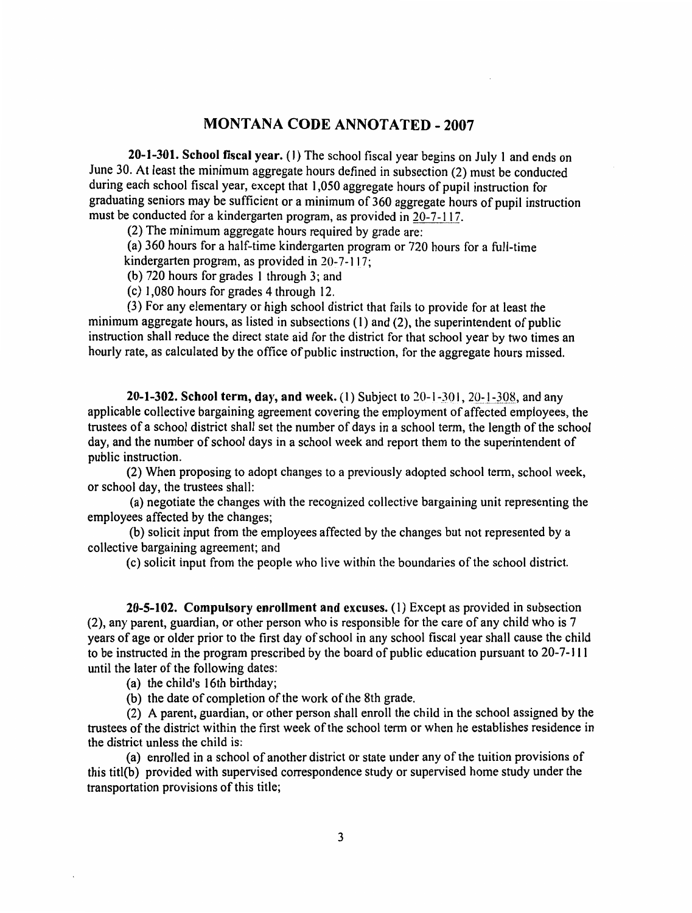# **MONTANA CODE ANNOTATED - 2007**

20-1-301. School fiscal year. (1) The school fiscal year begins on July 1 and ends on June 30. At least the minimum aggregate hours defined in subsection (2) must be conducted during each school fiscal year, except that 1,050 aggregate hours of pupil instruction for graduating seniors may be sufficient or a minimum of 360 aggregate hours of pupil instruction must be conducted for a kindergarten program, as provided in 20-7-117.

(2) The minimum aggregate hours required by grade are:

(a) 360 hours for a half-time kindergarten program or 720 hours for a full-time kindergarten program, as provided in  $20-7-117$ ;

(b) 720 hours for grades 1 through 3; and

(c) 1,080 hours for grades 4 through 12.

(3) For any elementary or high school district that fails to provide for at least the minimum aggregate hours, as listed in subsections  $(1)$  and  $(2)$ , the superintendent of public instruction shall reduce the direct state aid for the district for that school year by two times an hourly rate, as calculated by the office of public instruction, for the aggregate hours missed.

**20-1-302. School term, day, and week.** (1) Subject to  $20-1-301$ ,  $20-1-308$ , and any applicable collective bargaining agreement covering the employment of affected employees, the trustees of a school district shall set the number of days in a school term, the length of the school day, and the number of school days in a school week and report them to the superintendent of public instruction.

(2) When proposing to adopt changes to a previously adopted school term, school week, or school day, the trustees shall:

(a) negotiate the changes with the recognized collective bargaining unit representing the employees affected by the changes:

(b) solicit input from the employees affected by the changes but not represented by a collective bargaining agreement; and

(c) solicit input from the people who live within the boundaries of the school district.

20-5-102. Compulsory enrollment and excuses. (1) Except as provided in subsection (2), any parent, guardian, or other person who is responsible for the care of any child who is 7 years of age or older prior to the first day of school in any school fiscal year shall cause the child to be instructed in the program prescribed by the board of public education pursuant to 20-7-111 until the later of the following dates:

(a) the child's 16th birthday;

(b) the date of completion of the work of the 8th grade.

(2) A parent, guardian, or other person shall enroll the child in the school assigned by the trustees of the district within the first week of the school term or when he establishes residence in the district unless the child is:

(a) enrolled in a school of another district or state under any of the tuition provisions of this titl(b) provided with supervised correspondence study or supervised home study under the transportation provisions of this title;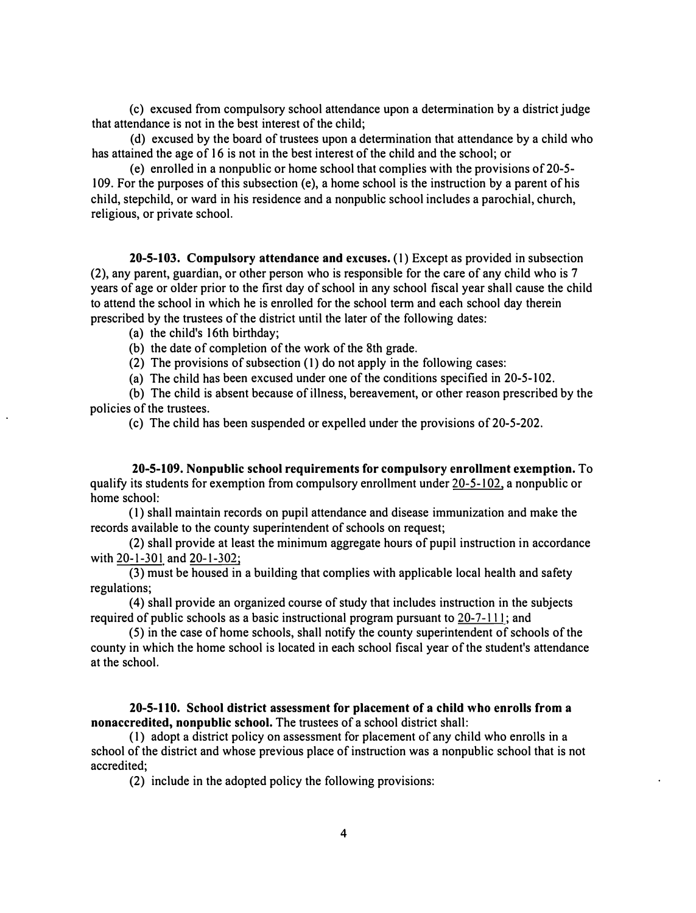( c) excused from compulsory school attendance upon a detennination by a district judge that attendance is not in the best interest of the child;

( d) excused by the board of trustees upon a detennination that attendance by a child who has attained the age of 16 is not in the best interest of the child and the school; or

( e) enrolled in a nonpublic or home school that complies with the provisions of 20-5- 109. For the purposes of this subsection (e), a home school is the instruction by a parent of his child, stepchild, or ward in his residence and a nonpublic school includes a parochial, church, religious, or private school.

**20-5-103. Compulsory attendance and excuses.** (I) Except as provided in subsection (2), any parent, guardian, or other person who is responsible for the care of any child who is 7 years of age or older prior to the first day of school in any school fiscal year shall cause the child to attend the school in which he is enrolled for the school tenn and each school day therein prescribed by the trustees of the district until the later of the following dates:

(a) the child's 16th birthday;

(b) the date of completion of the work of the 8th grade.

(2) The provisions of subsection (I) do not apply in the following cases:

(a) The child has been excused under one of the conditions specified in 20-5-102.

(b) The child is absent because of illness, bereavement, or other reason prescribed by the policies of the trustees.

(c) The child has been suspended or expelled under the provisions of 20-5-202.

**20-5-109. Nonpublic school requirements for compulsory enrollment exemption.** To qualify its students for exemption from compulsory enrollment under 20-5-102, a nonpublic or home school:

(I) shall maintain records on pupil attendance and disease immunization and make the records available to the county superintendent of schools on request;

(2) shall provide at least the minimum aggregate hours of pupil instruction in accordance with 20-1-301 and 20-1-302;

(3) must be housed in a building that complies with applicable local health and safety regulations;

( 4) shall provide an organized course of study that includes instruction in the subjects required of public schools as a basic instructional program pursuant to  $20-7-111$ ; and

(5) in the case of home schools, shall notify the county superintendent of schools of the county in which the home school is located in each school fiscal year of the student's attendance at the school.

**20-5-110. School district assessment for placement of a child who enrolls from a nonaccredited, nonpublic school.** The trustees of a school district shall:

(I) adopt a district policy on assessment for placement of any child who enrolls in a school of the district and whose previous place of instruction was a nonpublic school that is not accredited;

(2) include in the adopted policy the following provisions: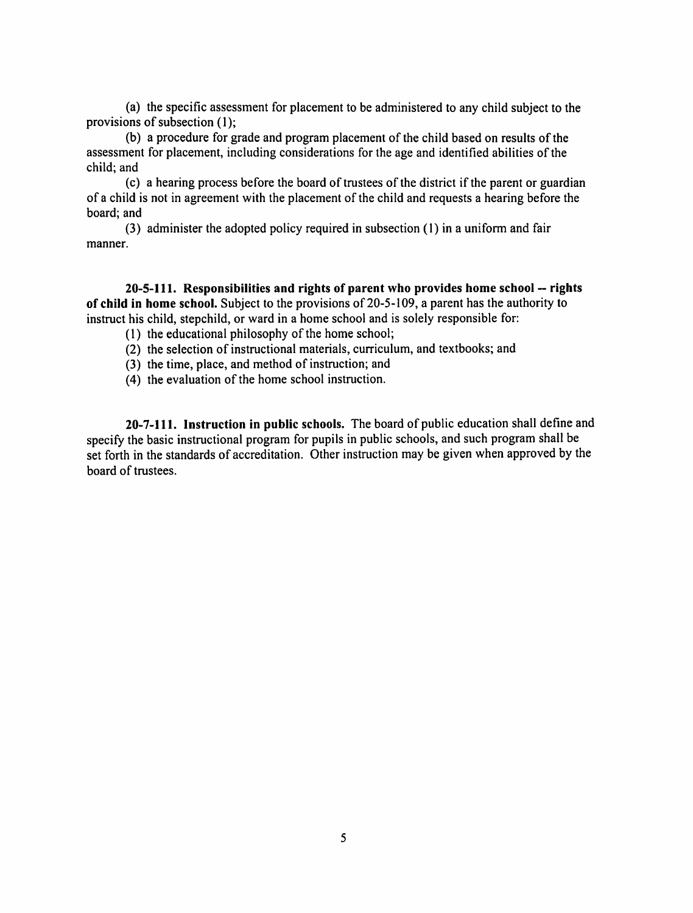(a) the specific assessment for placement to be administered to any child subject to the provisions of subsection (1):

(b) a procedure for grade and program placement of the child based on results of the assessment for placement, including considerations for the age and identified abilities of the child: and

(c) a hearing process before the board of trustees of the district if the parent or guardian of a child is not in agreement with the placement of the child and requests a hearing before the board: and

(3) administer the adopted policy required in subsection (1) in a uniform and fair manner.

20-5-111. Responsibilities and rights of parent who provides home school -- rights of child in home school. Subject to the provisions of 20-5-109, a parent has the authority to instruct his child, stepchild, or ward in a home school and is solely responsible for:

- (1) the educational philosophy of the home school;
- (2) the selection of instructional materials, curriculum, and textbooks; and
- (3) the time, place, and method of instruction; and
- (4) the evaluation of the home school instruction.

20-7-111. Instruction in public schools. The board of public education shall define and specify the basic instructional program for pupils in public schools, and such program shall be set forth in the standards of accreditation. Other instruction may be given when approved by the board of trustees.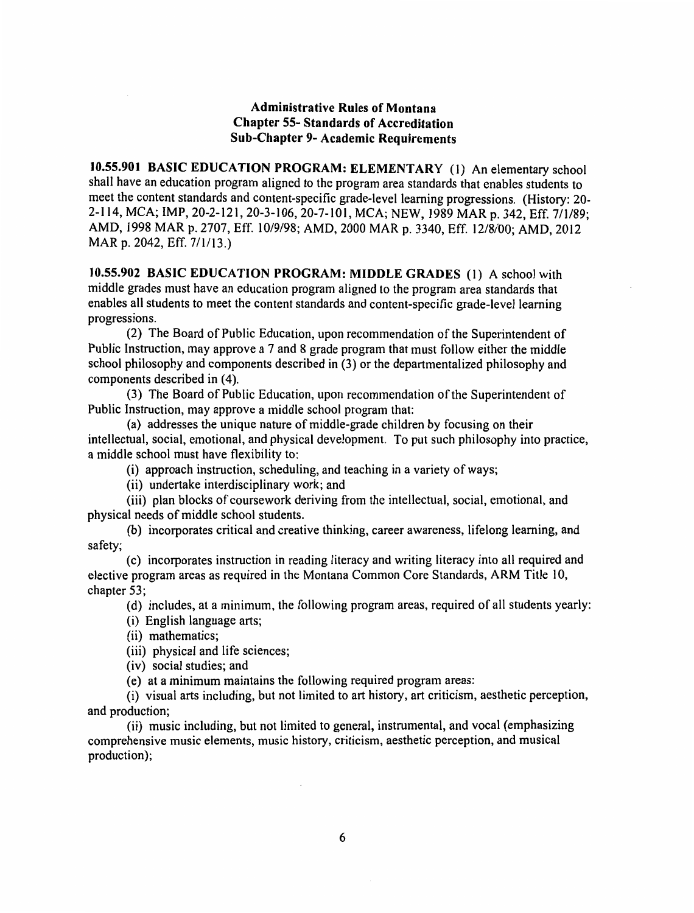## **Administrative Rules of Montana Chapter 55-Standards of Accreditation Sub-Chapter 9- Academic Requirements**

10.55.901 BASIC EDUCATION PROGRAM: ELEMENTARY (1) An elementary school shall have an education program aligned to the program area standards that enables students to meet the content standards and content-specific grade-level learning progressions. (History: 20-2-114, MCA; IMP, 20-2-121, 20-3-106, 20-7-101, MCA; NEW, 1989 MAR p. 342, Eff. 7/1/89; AMD, 1998 MAR p. 2707, Eff. 10/9/98; AMD, 2000 MAR p. 3340, Eff. 12/8/00; AMD, 2012 MAR p. 2042, Eff. 7/1/13.)

10.55.902 BASIC EDUCATION PROGRAM: MIDDLE GRADES (1) A school with middle grades must have an education program aligned to the program area standards that enables all students to meet the content standards and content-specific grade-level learning progressions.

(2) The Board of Public Education, upon recommendation of the Superintendent of Public Instruction, may approve a 7 and 8 grade program that must follow either the middle school philosophy and components described in (3) or the departmentalized philosophy and components described in (4).

(3) The Board of Public Education, upon recommendation of the Superintendent of Public Instruction, may approve a middle school program that:

(a) addresses the unique nature of middle-grade children by focusing on their intellectual, social, emotional, and physical development. To put such philosophy into practice, a middle school must have flexibility to:

(i) approach instruction, scheduling, and teaching in a variety of ways;

(ii) undertake interdisciplinary work; and

(iii) plan blocks of coursework deriving from the intellectual, social, emotional, and physical needs of middle school students.

(b) incorporates critical and creative thinking, career awareness, lifelong learning, and safety;

(c) incorporates instruction in reading literacy and writing literacy into all required and elective program areas as required in the Montana Common Core Standards, ARM Title 10, chapter 53;

(d) includes, at a minimum, the following program areas, required of all students yearly:

(i) English language arts;

(ii) mathematics;

(iii) physical and life sciences;

(iv) social studies; and

(e) at a minimum maintains the following required program areas:

(i) visual arts including, but not limited to art history, art criticism, aesthetic perception, and production;

(ii) music including, but not limited to general, instrumental, and vocal (emphasizing comprehensive music elements, music history, criticism, aesthetic perception, and musical production);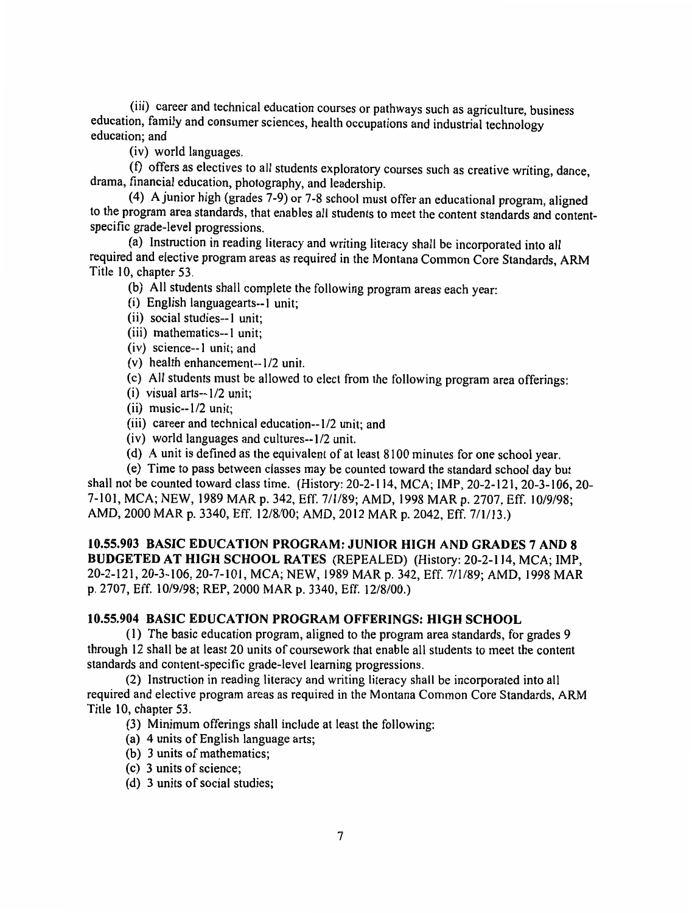(iii) career and technical education courses or pathways such as agriculture, business education, family and consumer sciences, health occupations and industrial technology education: and

(iv) world languages.

(f) offers as electives to all students exploratory courses such as creative writing, dance, drama, financial education, photography, and leadership.

(4) A junior high (grades 7-9) or 7-8 school must offer an educational program, aligned to the program area standards, that enables all students to meet the content standards and contentspecific grade-level progressions.

(a) Instruction in reading literacy and writing literacy shall be incorporated into all required and elective program areas as required in the Montana Common Core Standards, ARM Title 10, chapter 53.

(b) All students shall complete the following program areas each year:

- (i) English languagearts--1 unit;
- (ii) social studies--1 unit:
- (iii) mathematics--1 unit;
- (iv) science--1 unit; and
- (v) health enhancement--1/2 unit.
- (c) All students must be allowed to elect from the following program area offerings:
- $(i)$  visual arts--1/2 unit;
- $(ii)$  music-- $1/2$  unit:
- (iii) career and technical education--1/2 unit; and
- (iv) world languages and cultures--1/2 unit.
- (d) A unit is defined as the equivalent of at least 8100 minutes for one school year.

(e) Time to pass between classes may be counted toward the standard school day but shall not be counted toward class time. (History: 20-2-114, MCA; IMP, 20-2-121, 20-3-106, 20-7-101, MCA; NEW, 1989 MAR p. 342, Eff. 7/1/89; AMD, 1998 MAR p. 2707, Eff. 10/9/98; AMD, 2000 MAR p. 3340, Eff. 12/8/00; AMD, 2012 MAR p. 2042, Eff. 7/1/13.)

10.55.903 BASIC EDUCATION PROGRAM: JUNIOR HIGH AND GRADES 7 AND 8 BUDGETED AT HIGH SCHOOL RATES (REPEALED) (History: 20-2-114, MCA; IMP, 20-2-121, 20-3-106, 20-7-101, MCA; NEW, 1989 MAR p. 342, Eff. 7/1/89; AMD, 1998 MAR p. 2707, Eff. 10/9/98; REP, 2000 MAR p. 3340, Eff. 12/8/00.)

## 10.55.904 BASIC EDUCATION PROGRAM OFFERINGS: HIGH SCHOOL

(1) The basic education program, aligned to the program area standards, for grades 9 through 12 shall be at least 20 units of coursework that enable all students to meet the content standards and content-specific grade-level learning progressions.

(2) Instruction in reading literacy and writing literacy shall be incorporated into all required and elective program areas as required in the Montana Common Core Standards, ARM Title 10, chapter 53.

- (3) Minimum offerings shall include at least the following:
- (a) 4 units of English language arts;
- (b) 3 units of mathematics;
- (c) 3 units of science;
- (d) 3 units of social studies;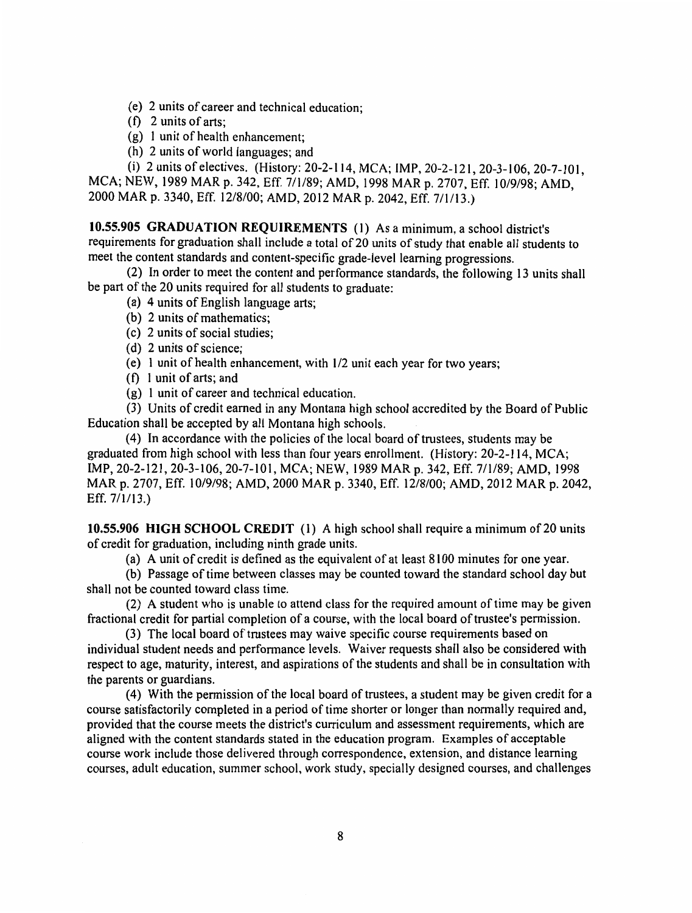- (e) 2 units of career and technical education:
- $(f)$  2 units of arts:
- (g) 1 unit of health enhancement;
- (h) 2 units of world languages; and

(i) 2 units of electives. (History: 20-2-114, MCA; IMP, 20-2-121, 20-3-106, 20-7-101, MCA; NEW, 1989 MAR p. 342, Eff. 7/1/89; AMD, 1998 MAR p. 2707, Eff. 10/9/98; AMD, 2000 MAR p. 3340, Eff. 12/8/00; AMD, 2012 MAR p. 2042, Eff. 7/1/13.)

10.55.905 GRADUATION REQUIREMENTS (1) As a minimum, a school district's requirements for graduation shall include a total of 20 units of study that enable all students to meet the content standards and content-specific grade-level learning progressions.

(2) In order to meet the content and performance standards, the following 13 units shall be part of the 20 units required for all students to graduate:

- (a) 4 units of English language arts:
- (b) 2 units of mathematics:
- (c) 2 units of social studies;
- (d) 2 units of science;
- (e) 1 unit of health enhancement, with 1/2 unit each year for two years;
- $(f)$  l unit of arts; and
- (g) 1 unit of career and technical education.

(3) Units of credit earned in any Montana high school accredited by the Board of Public Education shall be accepted by all Montana high schools.

(4) In accordance with the policies of the local board of trustees, students may be graduated from high school with less than four years enrollment. (History: 20-2-114, MCA; IMP, 20-2-121, 20-3-106, 20-7-101, MCA; NEW, 1989 MAR p. 342, Eff. 7/1/89; AMD, 1998 MAR p. 2707, Eff. 10/9/98; AMD, 2000 MAR p. 3340, Eff. 12/8/00; AMD, 2012 MAR p. 2042, Eff.  $7/1/13$ .)

10.55.906 HIGH SCHOOL CREDIT (1) A high school shall require a minimum of 20 units of credit for graduation, including ninth grade units.

(a) A unit of credit is defined as the equivalent of at least 8100 minutes for one year.

(b) Passage of time between classes may be counted toward the standard school day but shall not be counted toward class time.

(2) A student who is unable to attend class for the required amount of time may be given fractional credit for partial completion of a course, with the local board of trustee's permission.

(3) The local board of trustees may waive specific course requirements based on individual student needs and performance levels. Waiver requests shall also be considered with respect to age, maturity, interest, and aspirations of the students and shall be in consultation with the parents or guardians.

(4) With the permission of the local board of trustees, a student may be given credit for a course satisfactorily completed in a period of time shorter or longer than normally required and, provided that the course meets the district's curriculum and assessment requirements, which are aligned with the content standards stated in the education program. Examples of acceptable course work include those delivered through correspondence, extension, and distance learning courses, adult education, summer school, work study, specially designed courses, and challenges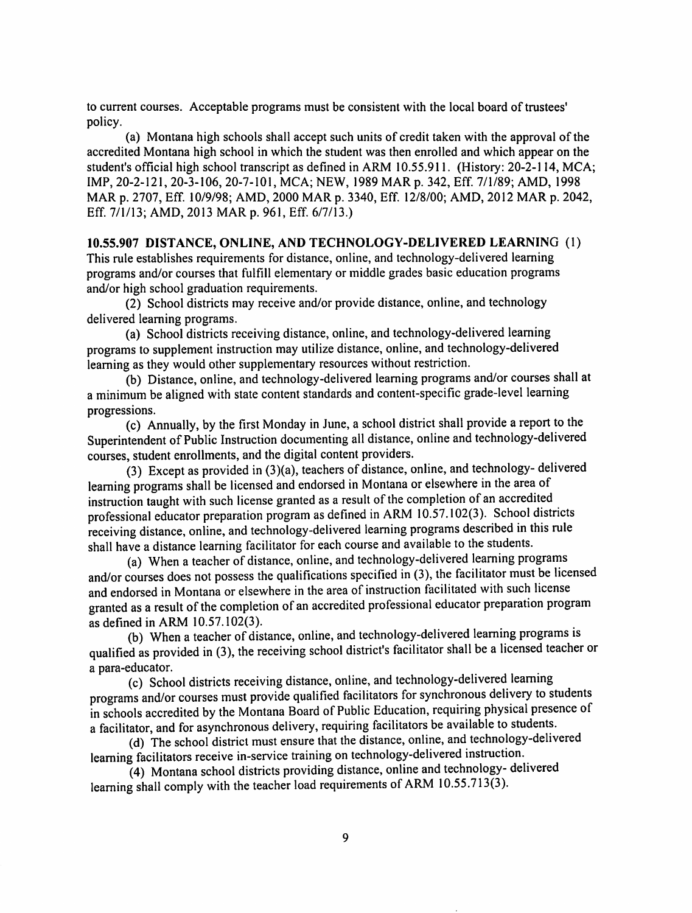to current courses. Acceptable programs must be consistent with the local board of trustees' policy.

(a) Montana high schools shall accept such units of credit taken with the approval of the accredited Montana high school in which the student was then enrolled and which appear on the student's official high school transcript as defined in ARM 10.55.911. (History: 20-2-114, MCA; IMP, 20-2-121, 20-3-106, 20-7-101, MCA; NEW, 1989 MAR p. 342, Eff. 7/1/89; AMD, 1998 MAR p. 2707, Eff. 10/9/98; AMD, 2000 MAR p. 3340, Eff. 12/8/00; AMD, 2012 MAR p. 2042, Eff. 7/1/13; AMD, 2013 MAR p. 961, Eff. 6/7/13.)

# 10.55.907 DISTANCE, ONLINE, AND TECHNOLOGY-DELIVERED LEARNING (1)

This rule establishes requirements for distance, online, and technology-delivered learning programs and/or courses that fulfill elementary or middle grades basic education programs and/or high school graduation requirements.

(2) School districts may receive and/or provide distance, online, and technology delivered learning programs.

(a) School districts receiving distance, online, and technology-delivered learning programs to supplement instruction may utilize distance, online, and technology-delivered learning as they would other supplementary resources without restriction.

(b) Distance, online, and technology-delivered learning programs and/or courses shall at a minimum be aligned with state content standards and content-specific grade-level learning progressions.

(c) Annually, by the first Monday in June, a school district shall provide a report to the Superintendent of Public Instruction documenting all distance, online and technology-delivered courses, student enrollments, and the digital content providers.

(3) Except as provided in (3)(a), teachers of distance, online, and technology- delivered learning programs shall be licensed and endorsed in Montana or elsewhere in the area of instruction taught with such license granted as a result of the completion of an accredited professional educator preparation program as defined in ARM 10.57.102(3). School districts receiving distance, online, and technology-delivered learning programs described in this rule shall have a distance learning facilitator for each course and available to the students.

(a) When a teacher of distance, online, and technology-delivered learning programs and/or courses does not possess the qualifications specified in (3), the facilitator must be licensed and endorsed in Montana or elsewhere in the area of instruction facilitated with such license granted as a result of the completion of an accredited professional educator preparation program as defined in ARM 10.57.102(3).

(b) When a teacher of distance, online, and technology-delivered learning programs is qualified as provided in (3), the receiving school district's facilitator shall be a licensed teacher or a para-educator.

(c) School districts receiving distance, online, and technology-delivered learning programs and/or courses must provide qualified facilitators for synchronous delivery to students in schools accredited by the Montana Board of Public Education, requiring physical presence of a facilitator, and for asynchronous delivery, requiring facilitators be available to students.

(d) The school district must ensure that the distance, online, and technology-delivered learning facilitators receive in-service training on technology-delivered instruction.

(4) Montana school districts providing distance, online and technology- delivered learning shall comply with the teacher load requirements of ARM 10.55.713(3).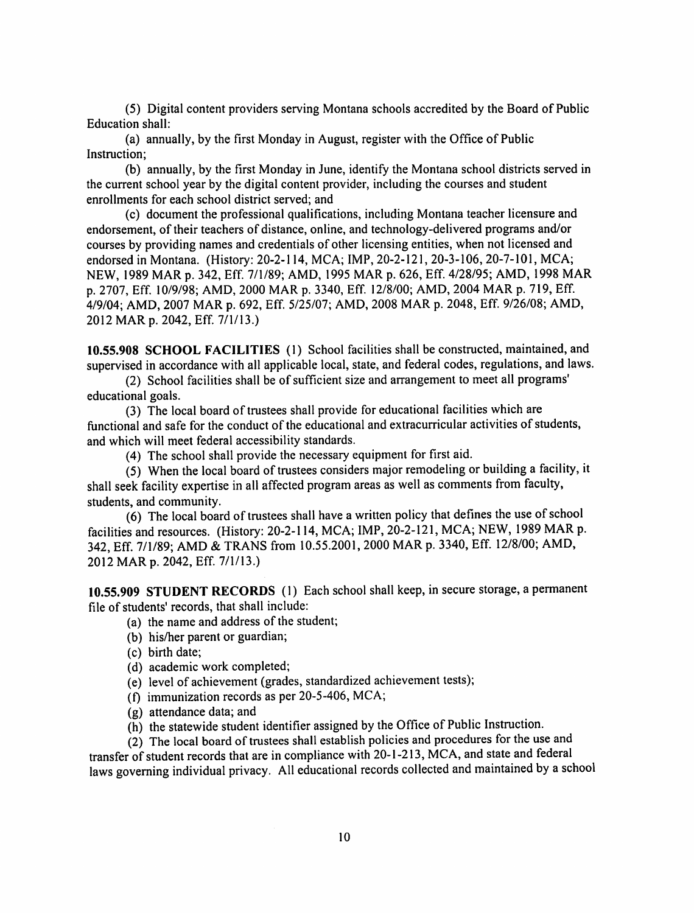(5) Digital content providers serving Montana schools accredited by the Board of Public **Education shall:** 

(a) annually, by the first Monday in August, register with the Office of Public Instruction;

(b) annually, by the first Monday in June, identify the Montana school districts served in the current school year by the digital content provider, including the courses and student enrollments for each school district served; and

(c) document the professional qualifications, including Montana teacher licensure and endorsement, of their teachers of distance, online, and technology-delivered programs and/or courses by providing names and credentials of other licensing entities, when not licensed and endorsed in Montana. (History: 20-2-114, MCA; IMP, 20-2-121, 20-3-106, 20-7-101, MCA; NEW, 1989 MAR p. 342, Eff. 7/1/89; AMD, 1995 MAR p. 626, Eff. 4/28/95; AMD, 1998 MAR p. 2707, Eff. 10/9/98; AMD, 2000 MAR p. 3340, Eff. 12/8/00; AMD, 2004 MAR p. 719, Eff. 4/9/04; AMD, 2007 MAR p. 692, Eff. 5/25/07; AMD, 2008 MAR p. 2048, Eff. 9/26/08; AMD, 2012 MAR p. 2042, Eff. 7/1/13.)

10.55.908 SCHOOL FACILITIES (1) School facilities shall be constructed, maintained, and supervised in accordance with all applicable local, state, and federal codes, regulations, and laws.

(2) School facilities shall be of sufficient size and arrangement to meet all programs' educational goals.

(3) The local board of trustees shall provide for educational facilities which are functional and safe for the conduct of the educational and extracurricular activities of students, and which will meet federal accessibility standards.

(4) The school shall provide the necessary equipment for first aid.

(5) When the local board of trustees considers major remodeling or building a facility, it shall seek facility expertise in all affected program areas as well as comments from faculty, students, and community.

(6) The local board of trustees shall have a written policy that defines the use of school facilities and resources. (History: 20-2-114, MCA; IMP, 20-2-121, MCA; NEW, 1989 MAR p. 342, Eff. 7/1/89; AMD & TRANS from 10.55.2001, 2000 MAR p. 3340, Eff. 12/8/00; AMD, 2012 MAR p. 2042, Eff. 7/1/13.)

10.55.909 STUDENT RECORDS (1) Each school shall keep, in secure storage, a permanent file of students' records, that shall include:

- (a) the name and address of the student;
- (b) his/her parent or guardian;
- (c) birth date;
- (d) academic work completed;
- (e) level of achievement (grades, standardized achievement tests);
- (f) immunization records as per 20-5-406, MCA;
- (g) attendance data; and
- (h) the statewide student identifier assigned by the Office of Public Instruction.

(2) The local board of trustees shall establish policies and procedures for the use and transfer of student records that are in compliance with 20-1-213, MCA, and state and federal laws governing individual privacy. All educational records collected and maintained by a school